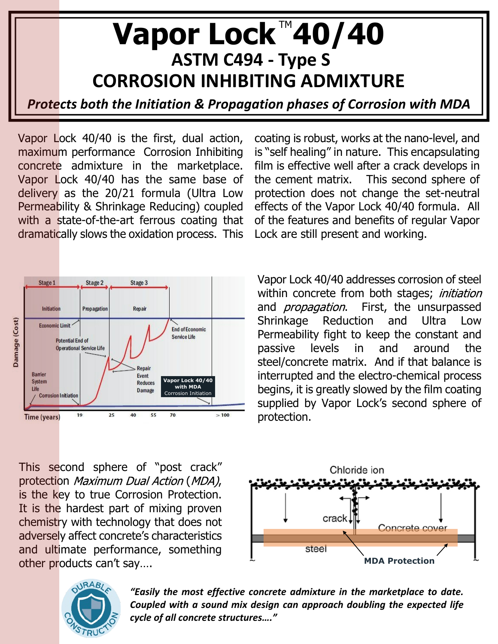## Vapor Lock™40/40  **ASTM C494 - Type S CORROSION INHIBITING ADMIXTURE**

*Protects both the Initiation & Propagation phases of Corrosion with MDA*

Vapor Lock 40/40 is the first, dual action, maximum performance Corrosion Inhibiting concrete admixture in the marketplace. Vapor Lock 40/40 has the same base of delivery as the 20/21 formula (Ultra Low Permeability & Shrinkage Reducing) coupled with a state-of-the-art ferrous coating that dramatically slows the oxidation process. This



This second sphere of "post crack" protection Maximum Dual Action (MDA), is the key to true Corrosion Protection. It is the hardest part of mixing proven chemistry with technology that does not adversely affect concrete's characteristics and ultimate performance, something other products can't say.... **MDA** Protection





*"Easily the most effective concrete admixture in the marketplace to date. Coupled with a sound mix design can approach doubling the expected life cycle of all concrete structures…."*

coating is robust, works at the nano-level, and is "self healing" in nature. This encapsulating film is effective well after a crack develops in the cement matrix. This second sphere of protection does not change the set-neutral effects of the Vapor Lock 40/40 formula. All of the features and benefits of regular Vapor Lock are still present and working.

Vapor Lock 40/40 addresses corrosion of steel within concrete from both stages; initiation and *propagation*. First, the unsurpassed Shrinkage Reduction and Ultra Low Permeability fight to keep the constant and passive levels in and around the steel/concrete matrix. And if that balance is interrupted and the electro-chemical process begins, it is greatly slowed by the film coating supplied by Vapor Lock's second sphere of protection.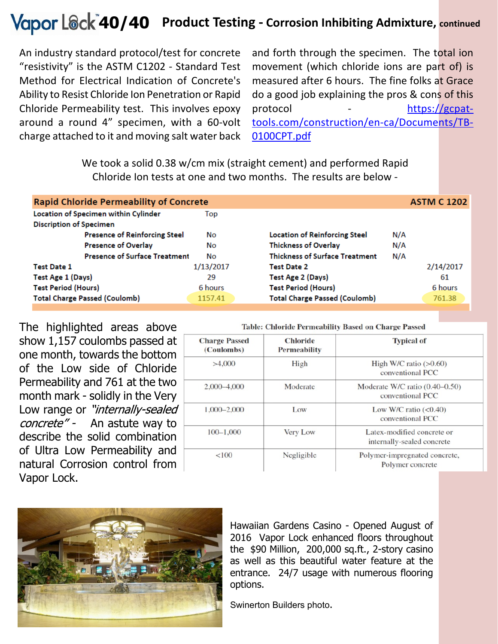## **Product Testing - Corrosion Inhibiting Admixture, continued 40/40**

An industry standard protocol/test for concrete "resistivity" is the ASTM C1202 - Standard Test Method for Electrical Indication of Concrete's Ability to Resist Chloride Ion Penetration or Rapid Chloride Permeability test. This involves epoxy around a round 4" specimen, with a 60-volt charge attached to it and moving salt water back

and forth through the specimen. The total ion movement (which chloride ions are part of) is measured after 6 hours. The fine folks at Grace do a good job explaining the pros & cons of this protocol - [https://gcpat](https://gcpat-tools.com/construction/en-ca/Documents/TB-0100CPT.pdf)[tools.com/construction/en-ca/Documents/TB-](https://gcpat-tools.com/construction/en-ca/Documents/TB-0100CPT.pdf)[0100CPT.pdf](https://gcpat-tools.com/construction/en-ca/Documents/TB-0100CPT.pdf)

We took a solid 0.38 w/cm mix (straight cement) and performed Rapid Chloride Ion tests at one and two months. The results are below -

| <b>Rapid Chloride Permeability of Concrete</b> |           |                                       |     | <b>ASTM C 1202</b> |
|------------------------------------------------|-----------|---------------------------------------|-----|--------------------|
| Location of Specimen within Cylinder           | Top       |                                       |     |                    |
| <b>Discription of Specimen</b>                 |           |                                       |     |                    |
| <b>Presence of Reinforcing Steel</b>           | No        | <b>Location of Reinforcing Steel</b>  | N/A |                    |
| <b>Presence of Overlay</b>                     | No        | <b>Thickness of Overlay</b>           | N/A |                    |
| <b>Presence of Surface Treatment</b>           | No        | <b>Thickness of Surface Treatment</b> | N/A |                    |
| <b>Test Date 1</b>                             | 1/13/2017 | <b>Test Date 2</b>                    |     | 2/14/2017          |
| Test Age 1 (Days)                              | 29        | Test Age 2 (Days)                     |     | 61                 |
| <b>Test Period (Hours)</b>                     | 6 hours   | <b>Test Period (Hours)</b>            |     | 6 hours            |
| <b>Total Charge Passed (Coulomb)</b>           | 1157.41   | <b>Total Charge Passed (Coulomb)</b>  |     | 761.38             |
|                                                |           |                                       |     |                    |

The highlighted areas above show 1,157 coulombs passed at one month, towards the bottom of the Low side of Chloride Permeability and 761 at the two month mark - solidly in the Very Low range or "internally-sealed" concrete" - An astute way to describe the solid combination of Ultra Low Permeability and natural Corrosion control from Vapor Lock.

| <b>Charge Passed</b><br>(Coulombs) | <b>Chloride</b><br><b>Permeability</b> | <b>Typical of</b>                                        |  |
|------------------------------------|----------------------------------------|----------------------------------------------------------|--|
| >4,000                             | High                                   | High W/C ratio $(>0.60)$<br>conventional PCC             |  |
| 2,000-4,000                        | Moderate                               | Moderate W/C ratio $(0.40-0.50)$<br>conventional PCC     |  |
| 1,000-2,000                        | Low                                    | Low W/C ratio $(0.40)$<br>conventional PCC               |  |
| $100 - 1,000$                      | Very Low                               | Latex-modified concrete or<br>internally-sealed concrete |  |
| 100<                               | Negligible                             | Polymer-impregnated concrete,<br>Polymer concrete        |  |



Hawaiian Gardens Casino - Opened August of 2016 Vapor Lock enhanced floors throughout the \$90 Million, 200,000 sq.ft., 2-story casino as well as this beautiful water feature at the entrance. 24/7 usage with numerous flooring options.

Swinerton Builders photo.